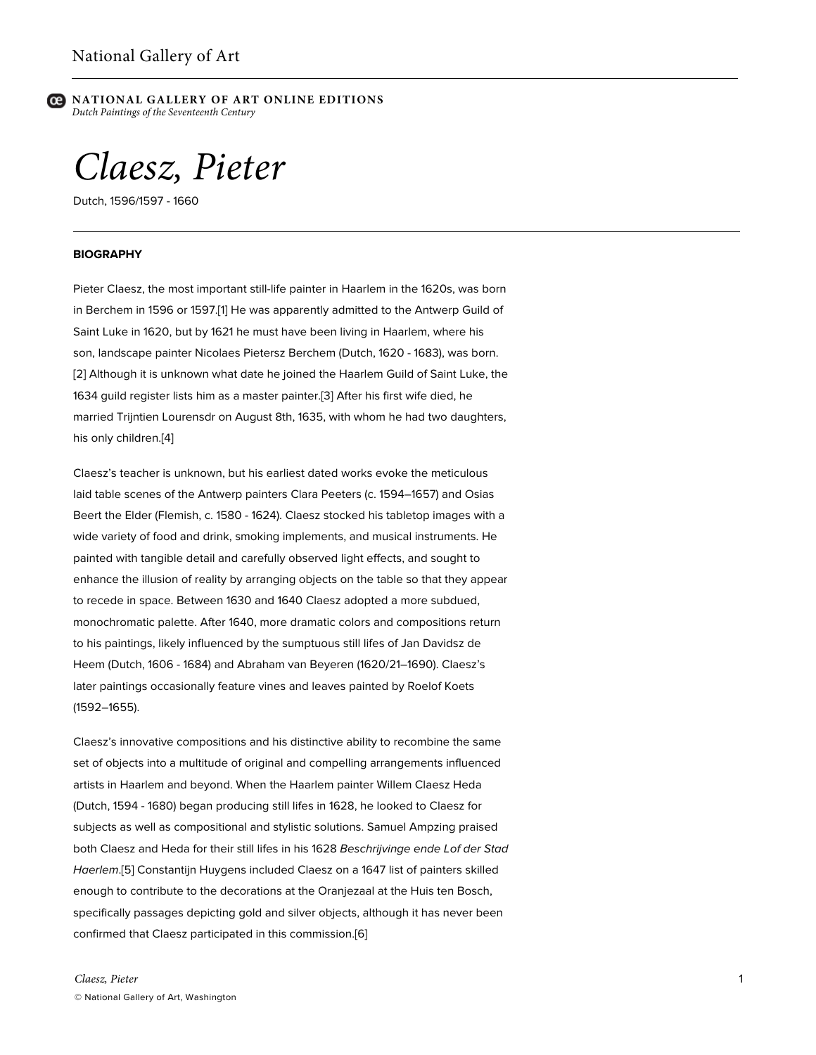

*Claesz, Pieter*

Dutch, 1596/1597 - 1660

## **BIOGRAPHY**

Pieter Claesz, the most important still-life painter in Haarlem in the 1620s, was born in Berchem in 1596 or 1597.[1] He was apparently admitted to the Antwerp Guild of Saint Luke in 1620, but by 1621 he must have been living in Haarlem, where his son, landscape painter Nicolaes Pietersz Berchem (Dutch, 1620 - 1683), was born. [2] Although it is unknown what date he joined the Haarlem Guild of Saint Luke, the 1634 guild register lists him as a master painter.[3] After his first wife died, he married Trijntien Lourensdr on August 8th, 1635, with whom he had two daughters, his only children.[4]

Claesz's teacher is unknown, but his earliest dated works evoke the meticulous laid table scenes of the Antwerp painters Clara Peeters (c. 1594–1657) and Osias Beert the Elder (Flemish, c. 1580 - 1624). Claesz stocked his tabletop images with a wide variety of food and drink, smoking implements, and musical instruments. He painted with tangible detail and carefully observed light effects, and sought to enhance the illusion of reality by arranging objects on the table so that they appear to recede in space. Between 1630 and 1640 Claesz adopted a more subdued, monochromatic palette. After 1640, more dramatic colors and compositions return to his paintings, likely influenced by the sumptuous still lifes of Jan Davidsz de Heem (Dutch, 1606 - 1684) and Abraham van Beyeren (1620/21–1690). Claesz's later paintings occasionally feature vines and leaves painted by Roelof Koets (1592–1655).

Claesz's innovative compositions and his distinctive ability to recombine the same set of objects into a multitude of original and compelling arrangements influenced artists in Haarlem and beyond. When the Haarlem painter Willem Claesz Heda (Dutch, 1594 - 1680) began producing still lifes in 1628, he looked to Claesz for subjects as well as compositional and stylistic solutions. Samuel Ampzing praised both Claesz and Heda for their still lifes in his 1628 *Beschrijvinge ende Lof der Stad Haerlem*.[5] Constantijn Huygens included Claesz on a 1647 list of painters skilled enough to contribute to the decorations at the Oranjezaal at the Huis ten Bosch, specifically passages depicting gold and silver objects, although it has never been confirmed that Claesz participated in this commission.[6]